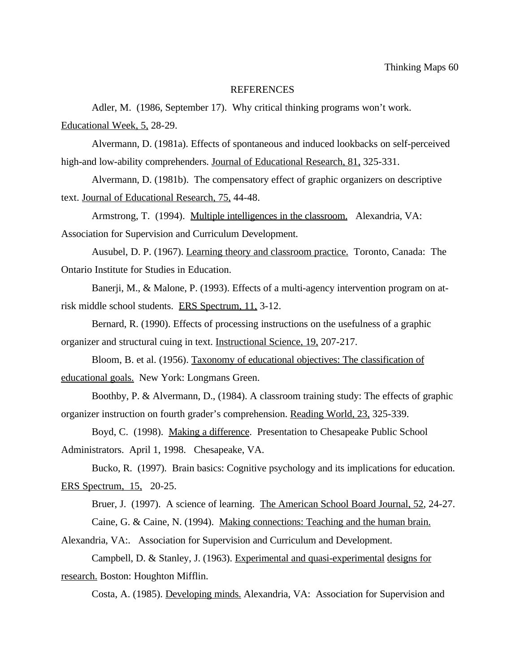### REFERENCES

Adler, M. (1986, September 17). Why critical thinking programs won't work. Educational Week, 5, 28-29.

Alvermann, D. (1981a). Effects of spontaneous and induced lookbacks on self-perceived high-and low-ability comprehenders. Journal of Educational Research, 81, 325-331.

Alvermann, D. (1981b). The compensatory effect of graphic organizers on descriptive text. Journal of Educational Research, 75, 44-48.

Armstrong, T. (1994). Multiple intelligences in the classroom. Alexandria, VA: Association for Supervision and Curriculum Development.

Ausubel, D. P. (1967). Learning theory and classroom practice. Toronto, Canada: The Ontario Institute for Studies in Education.

Banerji, M., & Malone, P. (1993). Effects of a multi-agency intervention program on atrisk middle school students. ERS Spectrum, 11, 3-12.

Bernard, R. (1990). Effects of processing instructions on the usefulness of a graphic organizer and structural cuing in text. Instructional Science, 19, 207-217.

Bloom, B. et al. (1956). Taxonomy of educational objectives: The classification of educational goals. New York: Longmans Green.

Boothby, P. & Alvermann, D., (1984). A classroom training study: The effects of graphic organizer instruction on fourth grader's comprehension. Reading World, 23, 325-339.

Boyd, C. (1998). Making a difference. Presentation to Chesapeake Public School Administrators. April 1, 1998. Chesapeake, VA.

Bucko, R. (1997). Brain basics: Cognitive psychology and its implications for education. ERS Spectrum, 15, 20-25.

Bruer, J. (1997). A science of learning. The American School Board Journal, 52, 24-27. Caine, G. & Caine, N. (1994). Making connections: Teaching and the human brain.

Alexandria, VA:. Association for Supervision and Curriculum and Development.

Campbell, D. & Stanley, J. (1963). Experimental and quasi-experimental designs for research. Boston: Houghton Mifflin.

Costa, A. (1985). Developing minds. Alexandria, VA: Association for Supervision and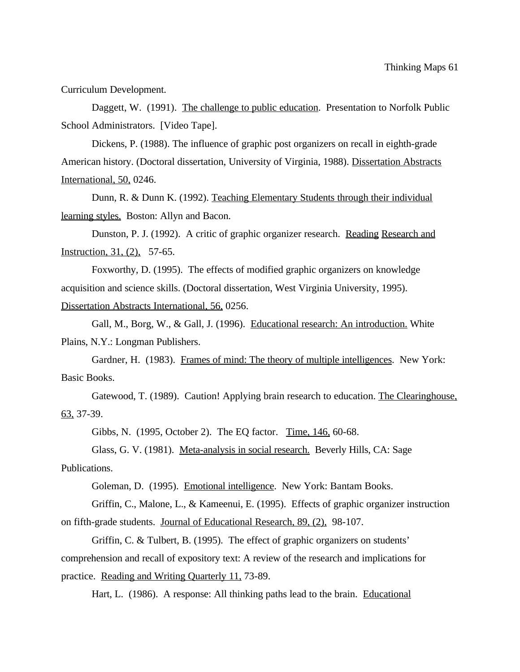Curriculum Development.

Daggett, W. (1991). The challenge to public education. Presentation to Norfolk Public School Administrators. [Video Tape].

Dickens, P. (1988). The influence of graphic post organizers on recall in eighth-grade American history. (Doctoral dissertation, University of Virginia, 1988). Dissertation Abstracts International, 50, 0246.

Dunn, R. & Dunn K. (1992). Teaching Elementary Students through their individual learning styles. Boston: Allyn and Bacon.

Dunston, P. J. (1992). A critic of graphic organizer research. Reading Research and Instruction, 31, (2), 57-65.

Foxworthy, D. (1995). The effects of modified graphic organizers on knowledge acquisition and science skills. (Doctoral dissertation, West Virginia University, 1995).

Dissertation Abstracts International, 56, 0256.

Gall, M., Borg, W., & Gall, J. (1996). Educational research: An introduction. White Plains, N.Y.: Longman Publishers.

Gardner, H. (1983). Frames of mind: The theory of multiple intelligences. New York: Basic Books.

Gatewood, T. (1989). Caution! Applying brain research to education. The Clearinghouse, 63, 37-39.

Gibbs, N. (1995, October 2). The EQ factor. Time, 146, 60-68.

Glass, G. V. (1981). Meta-analysis in social research. Beverly Hills, CA: Sage Publications.

Goleman, D. (1995). Emotional intelligence. New York: Bantam Books.

Griffin, C., Malone, L., & Kameenui, E. (1995). Effects of graphic organizer instruction on fifth-grade students. Journal of Educational Research, 89, (2), 98-107.

Griffin, C. & Tulbert, B. (1995). The effect of graphic organizers on students' comprehension and recall of expository text: A review of the research and implications for practice. Reading and Writing Quarterly 11, 73-89.

Hart, L. (1986). A response: All thinking paths lead to the brain. Educational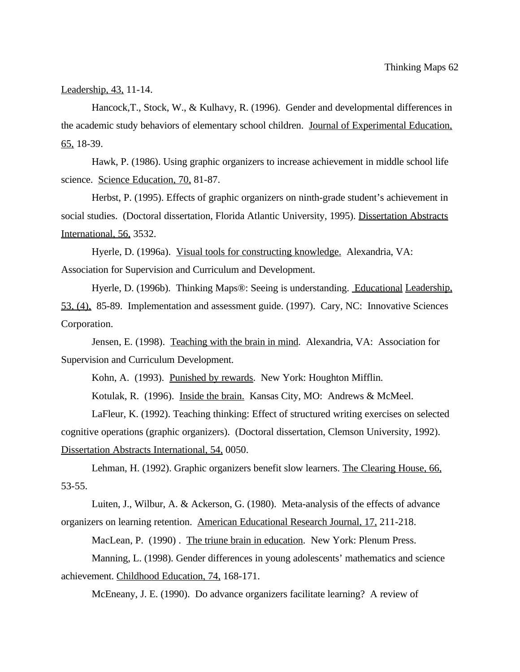Leadership, 43, 11-14.

Hancock,T., Stock, W., & Kulhavy, R. (1996). Gender and developmental differences in the academic study behaviors of elementary school children. Journal of Experimental Education,  $65, 18-39.$ 

Hawk, P. (1986). Using graphic organizers to increase achievement in middle school life science. Science Education, 70, 81-87.

Herbst, P. (1995). Effects of graphic organizers on ninth-grade student's achievement in social studies. (Doctoral dissertation, Florida Atlantic University, 1995). Dissertation Abstracts International, 56, 3532.

Hyerle, D. (1996a). Visual tools for constructing knowledge. Alexandria, VA: Association for Supervision and Curriculum and Development.

Hyerle, D. (1996b). Thinking Maps®: Seeing is understanding. Educational Leadership, 53, (4), 85-89. Implementation and assessment guide. (1997). Cary, NC: Innovative Sciences Corporation.

Jensen, E. (1998). Teaching with the brain in mind. Alexandria, VA: Association for Supervision and Curriculum Development.

Kohn, A. (1993). Punished by rewards. New York: Houghton Mifflin.

Kotulak, R. (1996). Inside the brain. Kansas City, MO: Andrews & McMeel.

LaFleur, K. (1992). Teaching thinking: Effect of structured writing exercises on selected cognitive operations (graphic organizers). (Doctoral dissertation, Clemson University, 1992). Dissertation Abstracts International, 54, 0050.

Lehman, H. (1992). Graphic organizers benefit slow learners. The Clearing House, 66, 53-55.

Luiten, J., Wilbur, A. & Ackerson, G. (1980). Meta-analysis of the effects of advance organizers on learning retention. American Educational Research Journal, 17, 211-218.

MacLean, P. (1990). The triune brain in education. New York: Plenum Press.

Manning, L. (1998). Gender differences in young adolescents' mathematics and science achievement. Childhood Education, 74, 168-171.

McEneany, J. E. (1990). Do advance organizers facilitate learning? A review of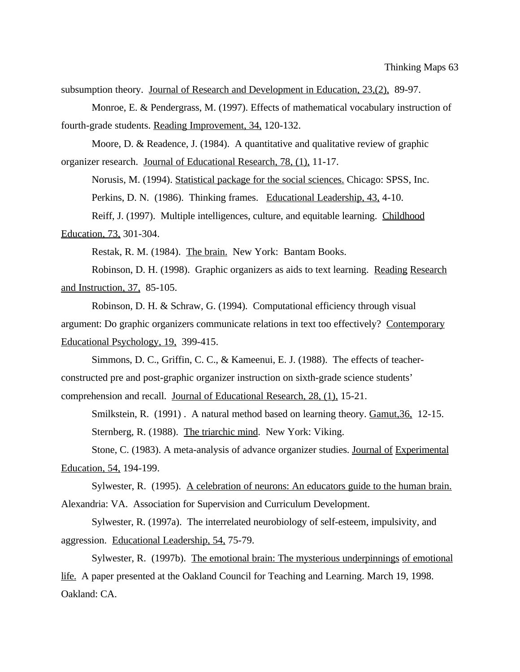subsumption theory. Journal of Research and Development in Education, 23,(2), 89-97.

Monroe, E. & Pendergrass, M. (1997). Effects of mathematical vocabulary instruction of fourth-grade students. Reading Improvement, 34, 120-132.

Moore, D. & Readence, J. (1984). A quantitative and qualitative review of graphic organizer research. Journal of Educational Research, 78, (1), 11-17.

Norusis, M. (1994). Statistical package for the social sciences. Chicago: SPSS, Inc. Perkins, D. N. (1986). Thinking frames. Educational Leadership, 43, 4-10. Reiff, J. (1997). Multiple intelligences, culture, and equitable learning. Childhood Education, 73, 301-304.

Restak, R. M. (1984). The brain. New York: Bantam Books.

Robinson, D. H. (1998). Graphic organizers as aids to text learning. Reading Research and Instruction, 37, 85-105.

Robinson, D. H. & Schraw, G. (1994). Computational efficiency through visual argument: Do graphic organizers communicate relations in text too effectively? Contemporary Educational Psychology, 19, 399-415.

Simmons, D. C., Griffin, C. C., & Kameenui, E. J. (1988). The effects of teacherconstructed pre and post-graphic organizer instruction on sixth-grade science students' comprehension and recall. Journal of Educational Research, 28, (1), 15-21.

Smilkstein, R. (1991) . A natural method based on learning theory. Gamut,36, 12-15. Sternberg, R. (1988). The triarchic mind. New York: Viking.

Stone, C. (1983). A meta-analysis of advance organizer studies. Journal of Experimental Education, 54, 194-199.

Sylwester, R. (1995). A celebration of neurons: An educators guide to the human brain. Alexandria: VA. Association for Supervision and Curriculum Development.

Sylwester, R. (1997a). The interrelated neurobiology of self-esteem, impulsivity, and aggression. Educational Leadership, 54, 75-79.

Sylwester, R. (1997b). The emotional brain: The mysterious underpinnings of emotional life. A paper presented at the Oakland Council for Teaching and Learning. March 19, 1998. Oakland: CA.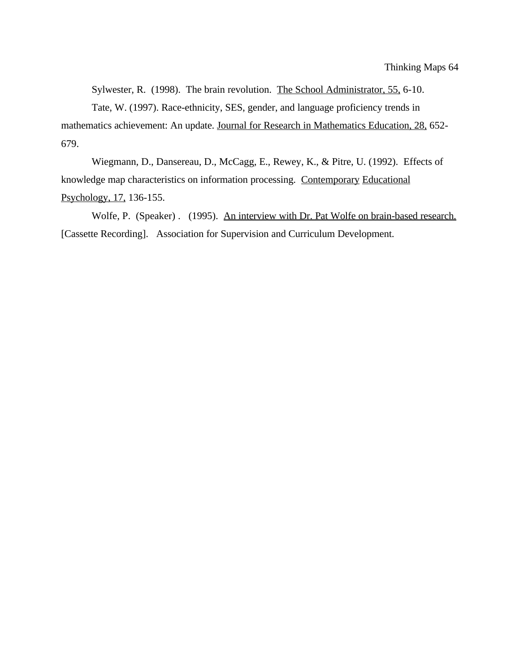Sylwester, R. (1998). The brain revolution. The School Administrator, 55, 6-10.

Tate, W. (1997). Race-ethnicity, SES, gender, and language proficiency trends in mathematics achievement: An update. Journal for Research in Mathematics Education, 28, 652- 679.

Wiegmann, D., Dansereau, D., McCagg, E., Rewey, K., & Pitre, U. (1992). Effects of knowledge map characteristics on information processing. Contemporary Educational Psychology, 17, 136-155.

Wolfe, P. (Speaker) . (1995). An interview with Dr. Pat Wolfe on brain-based research. [Cassette Recording]. Association for Supervision and Curriculum Development.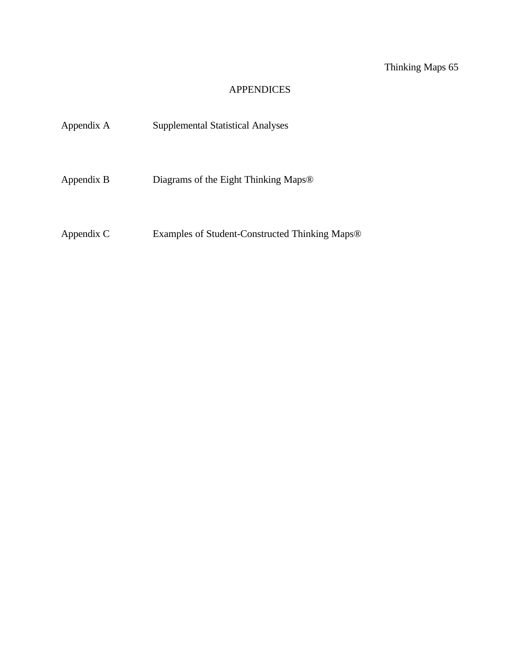Thinking Maps 65

# APPENDICES

| Appendix A | <b>Supplemental Statistical Analyses</b>                   |
|------------|------------------------------------------------------------|
| Appendix B | Diagrams of the Eight Thinking Maps <sup>®</sup>           |
| Appendix C | Examples of Student-Constructed Thinking Maps <sup>®</sup> |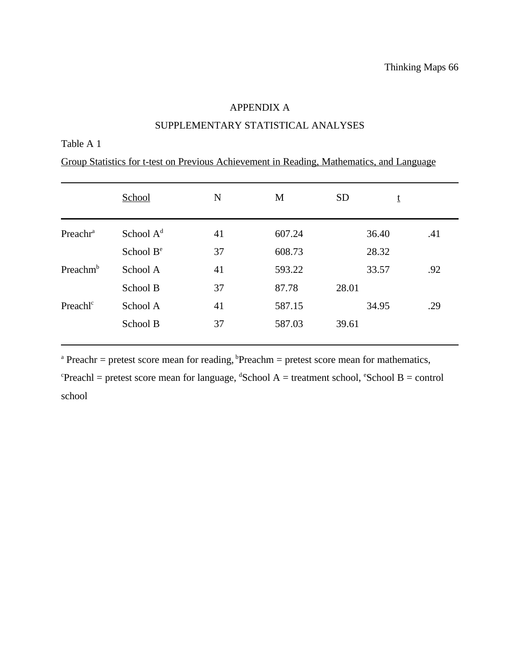### APPENDIX A

# SUPPLEMENTARY STATISTICAL ANALYSES

## Table A 1

|  |  |  |  | Group Statistics for t-test on Previous Achievement in Reading, Mathematics, and Language |
|--|--|--|--|-------------------------------------------------------------------------------------------|
|  |  |  |  |                                                                                           |
|  |  |  |  |                                                                                           |
|  |  |  |  |                                                                                           |

|                      | School                | N  | M      | <b>SD</b> | t     |     |
|----------------------|-----------------------|----|--------|-----------|-------|-----|
| Preachr <sup>a</sup> | School $Ad$           | 41 | 607.24 |           | 36.40 | .41 |
|                      | School B <sup>e</sup> | 37 | 608.73 |           | 28.32 |     |
| Preachm <sup>b</sup> | School A              | 41 | 593.22 |           | 33.57 | .92 |
|                      | School B              | 37 | 87.78  | 28.01     |       |     |
| Preachl <sup>c</sup> | School A              | 41 | 587.15 |           | 34.95 | .29 |
|                      | School B              | 37 | 587.03 | 39.61     |       |     |

 $P$ reachr = pretest score mean for reading,  $P$ Preachm = pretest score mean for mathematics,

 $P$ reachl = pretest score mean for language,  ${}^{d}$ School A = treatment school,  ${}^{e}$ School B = control school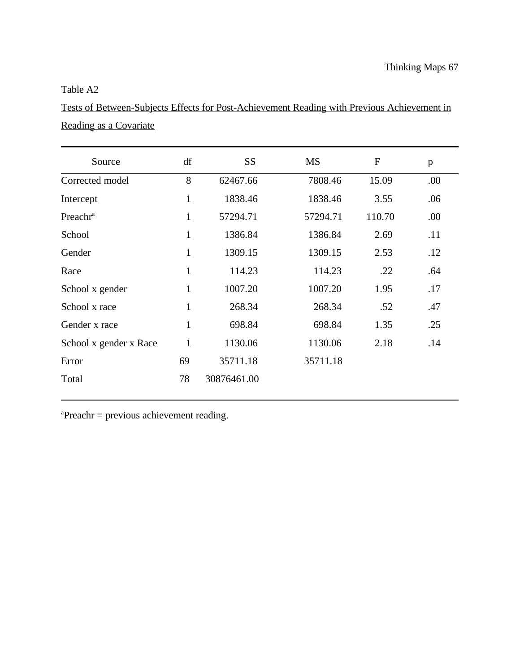## Table A2

Tests of Between-Subjects Effects for Post-Achievement Reading with Previous Achievement in Reading as a Covariate

| <b>Source</b>          | df           | <b>SS</b>   | $\overline{\text{MS}}$ | ${\bf E}$ | $\mathbf{p}$ |
|------------------------|--------------|-------------|------------------------|-----------|--------------|
| Corrected model        | 8            | 62467.66    | 7808.46                | 15.09     | .00          |
| Intercept              | $\mathbf{1}$ | 1838.46     | 1838.46                | 3.55      | .06          |
| Preachr <sup>a</sup>   | $\mathbf{1}$ | 57294.71    | 57294.71               | 110.70    | .00          |
| School                 | 1            | 1386.84     | 1386.84                | 2.69      | .11          |
| Gender                 | $\mathbf{1}$ | 1309.15     | 1309.15                | 2.53      | .12          |
| Race                   | $\mathbf{1}$ | 114.23      | 114.23                 | .22       | .64          |
| School x gender        | 1            | 1007.20     | 1007.20                | 1.95      | .17          |
| School x race          | 1            | 268.34      | 268.34                 | .52       | .47          |
| Gender x race          | $\mathbf{1}$ | 698.84      | 698.84                 | 1.35      | .25          |
| School x gender x Race | $\mathbf{1}$ | 1130.06     | 1130.06                | 2.18      | .14          |
| Error                  | 69           | 35711.18    | 35711.18               |           |              |
| Total                  | 78           | 30876461.00 |                        |           |              |

 ${}^{a}$ Preachr = previous achievement reading.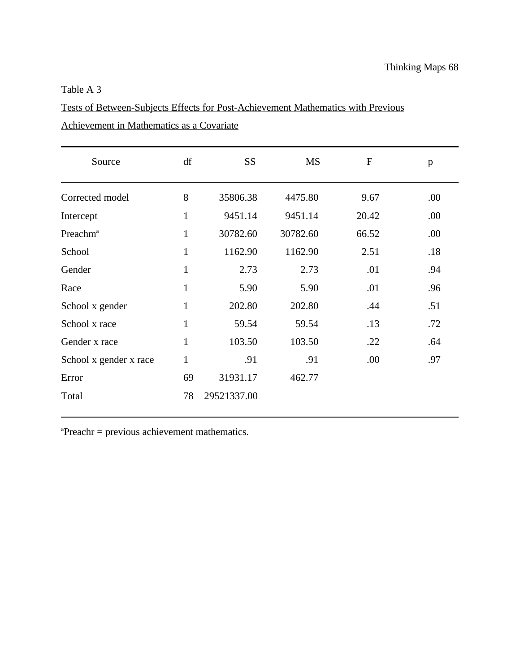## Table A 3

Tests of Between-Subjects Effects for Post-Achievement Mathematics with Previous

Achievement in Mathematics as a Covariate

| Source                 | df           | <b>SS</b>   | $\overline{\text{MS}}$ | $\mathbf F$ | $\mathbf{p}$ |
|------------------------|--------------|-------------|------------------------|-------------|--------------|
| Corrected model        | 8            | 35806.38    | 4475.80                | 9.67        | .00          |
| Intercept              | $\mathbf{1}$ | 9451.14     | 9451.14                | 20.42       | .00          |
| Preachm <sup>a</sup>   | $\mathbf{1}$ | 30782.60    | 30782.60               | 66.52       | .00          |
| School                 | $\mathbf{1}$ | 1162.90     | 1162.90                | 2.51        | .18          |
| Gender                 | $\mathbf{1}$ | 2.73        | 2.73                   | .01         | .94          |
| Race                   | $\mathbf{1}$ | 5.90        | 5.90                   | .01         | .96          |
| School x gender        | $\mathbf{1}$ | 202.80      | 202.80                 | .44         | .51          |
| School x race          | $\mathbf{1}$ | 59.54       | 59.54                  | .13         | .72          |
| Gender x race          | $\mathbf{1}$ | 103.50      | 103.50                 | .22         | .64          |
| School x gender x race | $\mathbf{1}$ | .91         | .91                    | .00         | .97          |
| Error                  | 69           | 31931.17    | 462.77                 |             |              |
| Total                  | 78           | 29521337.00 |                        |             |              |

 $P$ reachr = previous achievement mathematics.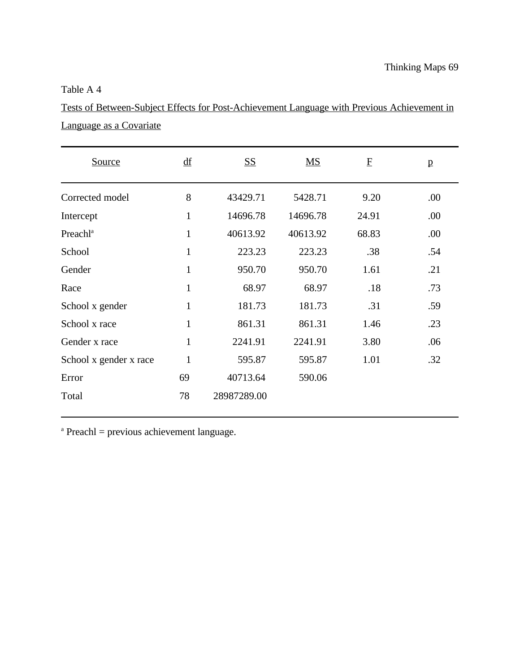## Table A 4

Tests of Between-Subject Effects for Post-Achievement Language with Previous Achievement in Language as a Covariate

| Source                 | df           | <b>SS</b>   | $\overline{\text{MS}}$ | $\mathbf{F}$ | $\mathbf{p}$ |
|------------------------|--------------|-------------|------------------------|--------------|--------------|
| Corrected model        | 8            | 43429.71    | 5428.71                | 9.20         | .00          |
| Intercept              | $\mathbf{1}$ | 14696.78    | 14696.78               | 24.91        | .00          |
| Preachl <sup>a</sup>   | $\mathbf{1}$ | 40613.92    | 40613.92               | 68.83        | .00          |
| School                 | $\mathbf{1}$ | 223.23      | 223.23                 | .38          | .54          |
| Gender                 | $\mathbf{1}$ | 950.70      | 950.70                 | 1.61         | .21          |
| Race                   | $\mathbf{1}$ | 68.97       | 68.97                  | .18          | .73          |
| School x gender        | 1            | 181.73      | 181.73                 | .31          | .59          |
| School x race          | $\mathbf{1}$ | 861.31      | 861.31                 | 1.46         | .23          |
| Gender x race          | 1            | 2241.91     | 2241.91                | 3.80         | .06          |
| School x gender x race | $\mathbf{1}$ | 595.87      | 595.87                 | 1.01         | .32          |
| Error                  | 69           | 40713.64    | 590.06                 |              |              |
| Total                  | 78           | 28987289.00 |                        |              |              |

 $A<sup>a</sup>$  Preachl = previous achievement language.